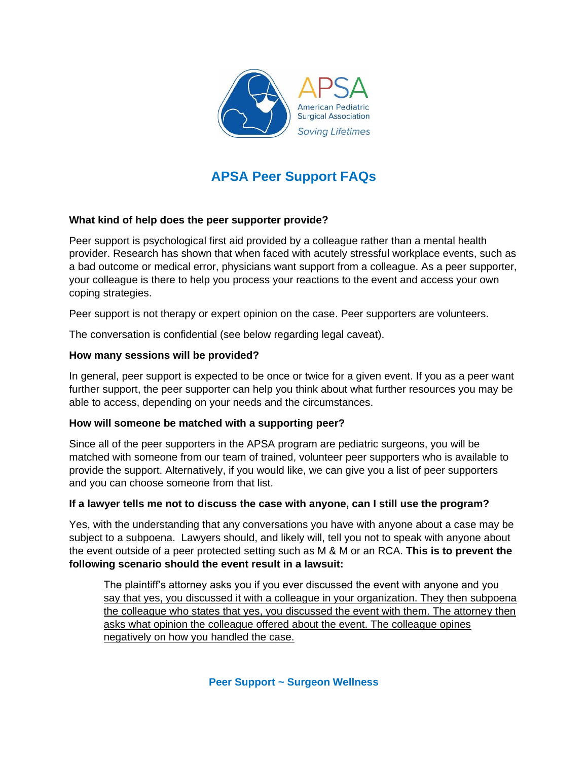

# **APSA Peer Support FAQs**

## **What kind of help does the peer supporter provide?**

Peer support is psychological first aid provided by a colleague rather than a mental health provider. Research has shown that when faced with acutely stressful workplace events, such as a bad outcome or medical error, physicians want support from a colleague. As a peer supporter, your colleague is there to help you process your reactions to the event and access your own coping strategies.

Peer support is not therapy or expert opinion on the case. Peer supporters are volunteers.

The conversation is confidential (see below regarding legal caveat).

## **How many sessions will be provided?**

In general, peer support is expected to be once or twice for a given event. If you as a peer want further support, the peer supporter can help you think about what further resources you may be able to access, depending on your needs and the circumstances.

## **How will someone be matched with a supporting peer?**

Since all of the peer supporters in the APSA program are pediatric surgeons, you will be matched with someone from our team of trained, volunteer peer supporters who is available to provide the support. Alternatively, if you would like, we can give you a list of peer supporters and you can choose someone from that list.

## **If a lawyer tells me not to discuss the case with anyone, can I still use the program?**

Yes, with the understanding that any conversations you have with anyone about a case may be subject to a subpoena. Lawyers should, and likely will, tell you not to speak with anyone about the event outside of a peer protected setting such as M & M or an RCA. **This is to prevent the following scenario should the event result in a lawsuit:** 

The plaintiff's attorney asks you if you ever discussed the event with anyone and you say that yes, you discussed it with a colleague in your organization. They then subpoena the colleague who states that yes, you discussed the event with them. The attorney then asks what opinion the colleague offered about the event. The colleague opines negatively on how you handled the case.